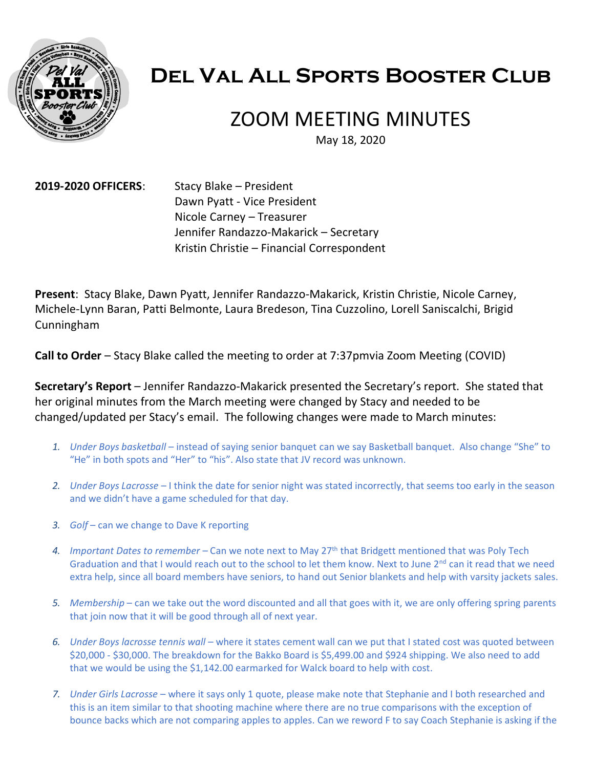

# **Del Val All Sports Booster Club**

## ZOOM MEETING MINUTES

May 18, 2020

**2019-2020 OFFICERS**: Stacy Blake – President Dawn Pyatt - Vice President Nicole Carney – Treasurer Jennifer Randazzo-Makarick – Secretary Kristin Christie – Financial Correspondent

**Present**: Stacy Blake, Dawn Pyatt, Jennifer Randazzo-Makarick, Kristin Christie, Nicole Carney, Michele-Lynn Baran, Patti Belmonte, Laura Bredeson, Tina Cuzzolino, Lorell Saniscalchi, Brigid Cunningham

**Call to Order** – Stacy Blake called the meeting to order at 7:37pmvia Zoom Meeting (COVID)

**Secretary's Report** – Jennifer Randazzo-Makarick presented the Secretary's report. She stated that her original minutes from the March meeting were changed by Stacy and needed to be changed/updated per Stacy's email. The following changes were made to March minutes:

- *1. Under Boys basketball* instead of saying senior banquet can we say Basketball banquet. Also change "She" to "He" in both spots and "Her" to "his". Also state that JV record was unknown.
- *2. Under Boys Lacrosse* I think the date for senior night was stated incorrectly, that seems too early in the season and we didn't have a game scheduled for that day.
- *3. Golf* can we change to Dave K reporting
- *4. Important Dates to remember* Can we note next to May 27th that Bridgett mentioned that was Poly Tech Graduation and that I would reach out to the school to let them know. Next to June 2<sup>nd</sup> can it read that we need extra help, since all board members have seniors, to hand out Senior blankets and help with varsity jackets sales.
- *5. Membership* can we take out the word discounted and all that goes with it, we are only offering spring parents that join now that it will be good through all of next year.
- *6. Under Boys lacrosse tennis wall* where it states cement wall can we put that I stated cost was quoted between \$20,000 - \$30,000. The breakdown for the Bakko Board is \$5,499.00 and \$924 shipping. We also need to add that we would be using the \$1,142.00 earmarked for Walck board to help with cost.
- *7. Under Girls Lacrosse* where it says only 1 quote, please make note that Stephanie and I both researched and this is an item similar to that shooting machine where there are no true comparisons with the exception of bounce backs which are not comparing apples to apples. Can we reword F to say Coach Stephanie is asking if the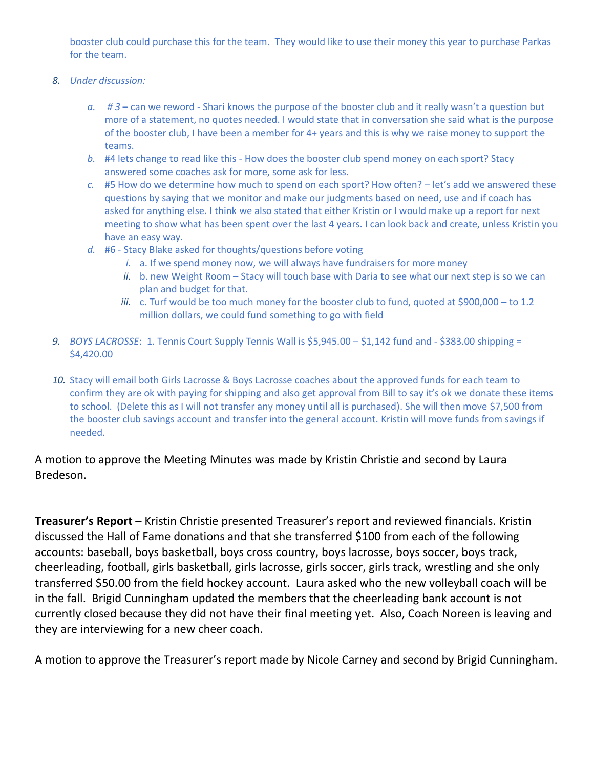booster club could purchase this for the team. They would like to use their money this year to purchase Parkas for the team.

- *8. Under discussion:*
	- *a. # 3* can we reword Shari knows the purpose of the booster club and it really wasn't a question but more of a statement, no quotes needed. I would state that in conversation she said what is the purpose of the booster club, I have been a member for 4+ years and this is why we raise money to support the teams.
	- *b.* #4 lets change to read like this How does the booster club spend money on each sport? Stacy answered some coaches ask for more, some ask for less.
	- *c.* #5 How do we determine how much to spend on each sport? How often? let's add we answered these questions by saying that we monitor and make our judgments based on need, use and if coach has asked for anything else. I think we also stated that either Kristin or I would make up a report for next meeting to show what has been spent over the last 4 years. I can look back and create, unless Kristin you have an easy way.
	- *d.* #6 Stacy Blake asked for thoughts/questions before voting
		- *i.* a. If we spend money now, we will always have fundraisers for more money
		- *ii.* b. new Weight Room Stacy will touch base with Daria to see what our next step is so we can plan and budget for that.
		- *iii.* c. Turf would be too much money for the booster club to fund, quoted at \$900,000 to 1.2 million dollars, we could fund something to go with field
- *9. BOYS LACROSSE*: 1. Tennis Court Supply Tennis Wall is \$5,945.00 \$1,142 fund and \$383.00 shipping = \$4,420.00
- *10.* Stacy will email both Girls Lacrosse & Boys Lacrosse coaches about the approved funds for each team to confirm they are ok with paying for shipping and also get approval from Bill to say it's ok we donate these items to school. (Delete this as I will not transfer any money until all is purchased). She will then move \$7,500 from the booster club savings account and transfer into the general account. Kristin will move funds from savings if needed.

#### A motion to approve the Meeting Minutes was made by Kristin Christie and second by Laura Bredeson.

**Treasurer's Report** – Kristin Christie presented Treasurer's report and reviewed financials. Kristin discussed the Hall of Fame donations and that she transferred \$100 from each of the following accounts: baseball, boys basketball, boys cross country, boys lacrosse, boys soccer, boys track, cheerleading, football, girls basketball, girls lacrosse, girls soccer, girls track, wrestling and she only transferred \$50.00 from the field hockey account. Laura asked who the new volleyball coach will be in the fall. Brigid Cunningham updated the members that the cheerleading bank account is not currently closed because they did not have their final meeting yet. Also, Coach Noreen is leaving and they are interviewing for a new cheer coach.

A motion to approve the Treasurer's report made by Nicole Carney and second by Brigid Cunningham.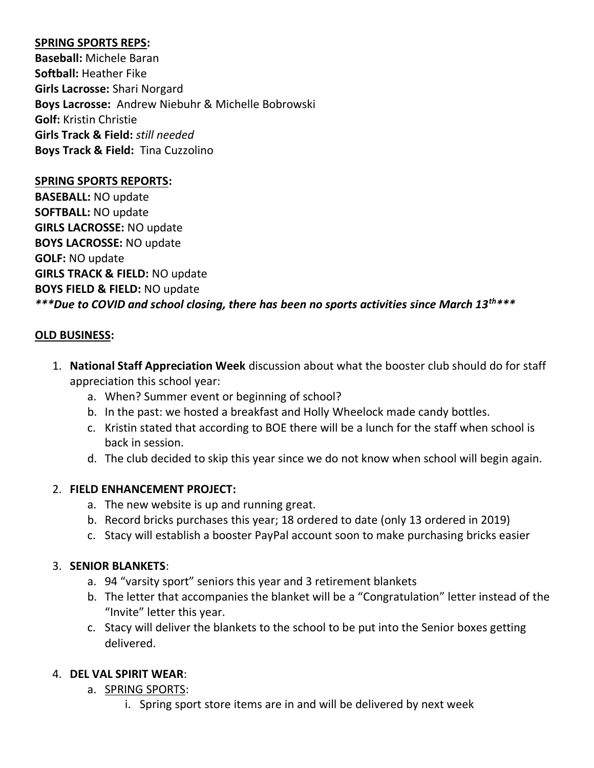#### **SPRING SPORTS REPS:**

**Baseball:** Michele Baran **Softball:** Heather Fike **Girls Lacrosse:** Shari Norgard **Boys Lacrosse:** Andrew Niebuhr & Michelle Bobrowski **Golf:** Kristin Christie **Girls Track & Field:** *still needed* **Boys Track & Field:** Tina Cuzzolino

#### **SPRING SPORTS REPORTS:**

**BASEBALL:** NO update **SOFTBALL:** NO update **GIRLS LACROSSE:** NO update **BOYS LACROSSE:** NO update **GOLF:** NO update **GIRLS TRACK & FIELD:** NO update **BOYS FIELD & FIELD:** NO update *\*\*\*Due to COVID and school closing, there has been no sports activities since March 13th\*\*\**

#### **OLD BUSINESS:**

- 1. **National Staff Appreciation Week** discussion about what the booster club should do for staff appreciation this school year:
	- a. When? Summer event or beginning of school?
	- b. In the past: we hosted a breakfast and Holly Wheelock made candy bottles.
	- c. Kristin stated that according to BOE there will be a lunch for the staff when school is back in session.
	- d. The club decided to skip this year since we do not know when school will begin again.

#### 2. **FIELD ENHANCEMENT PROJECT:**

- a. The new website is up and running great.
- b. Record bricks purchases this year; 18 ordered to date (only 13 ordered in 2019)
- c. Stacy will establish a booster PayPal account soon to make purchasing bricks easier

#### 3. **SENIOR BLANKETS**:

- a. 94 "varsity sport" seniors this year and 3 retirement blankets
- b. The letter that accompanies the blanket will be a "Congratulation" letter instead of the "Invite" letter this year.
- c. Stacy will deliver the blankets to the school to be put into the Senior boxes getting delivered.

#### 4. **DEL VAL SPIRIT WEAR**:

- a. SPRING SPORTS:
	- i. Spring sport store items are in and will be delivered by next week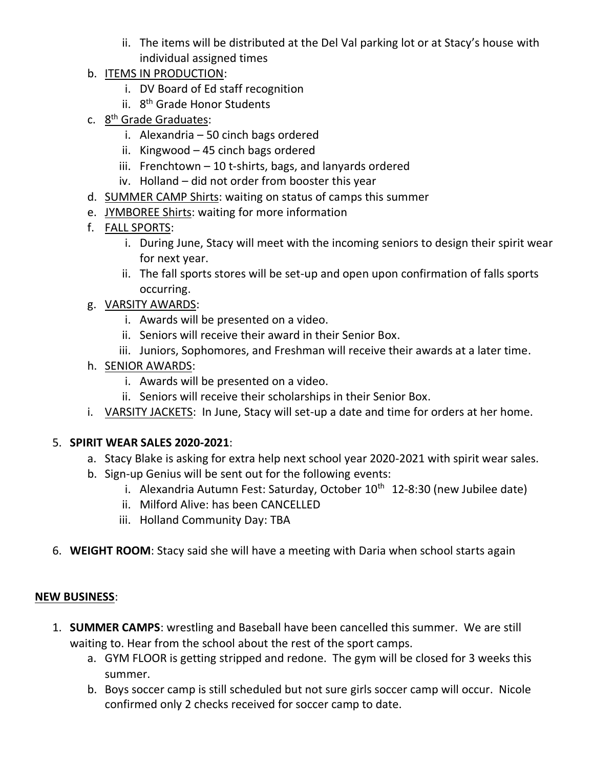- ii. The items will be distributed at the Del Val parking lot or at Stacy's house with individual assigned times
- b. ITEMS IN PRODUCTION:
	- i. DV Board of Ed staff recognition
	- ii. 8<sup>th</sup> Grade Honor Students
- c. 8<sup>th</sup> Grade Graduates:
	- i. Alexandria 50 cinch bags ordered
	- ii. Kingwood 45 cinch bags ordered
	- iii. Frenchtown 10 t-shirts, bags, and lanyards ordered
	- iv. Holland did not order from booster this year
- d. SUMMER CAMP Shirts: waiting on status of camps this summer
- e. JYMBOREE Shirts: waiting for more information
- f. FALL SPORTS:
	- i. During June, Stacy will meet with the incoming seniors to design their spirit wear for next year.
	- ii. The fall sports stores will be set-up and open upon confirmation of falls sports occurring.
- g. VARSITY AWARDS:
	- i. Awards will be presented on a video.
	- ii. Seniors will receive their award in their Senior Box.
	- iii. Juniors, Sophomores, and Freshman will receive their awards at a later time.
- h. SENIOR AWARDS:
	- i. Awards will be presented on a video.
	- ii. Seniors will receive their scholarships in their Senior Box.
- i. VARSITY JACKETS: In June, Stacy will set-up a date and time for orders at her home.

## 5. **SPIRIT WEAR SALES 2020-2021**:

- a. Stacy Blake is asking for extra help next school year 2020-2021 with spirit wear sales.
- b. Sign-up Genius will be sent out for the following events:
	- i. Alexandria Autumn Fest: Saturday, October  $10^{th}$  12-8:30 (new Jubilee date)
	- ii. Milford Alive: has been CANCELLED
	- iii. Holland Community Day: TBA
- 6. **WEIGHT ROOM**: Stacy said she will have a meeting with Daria when school starts again

## **NEW BUSINESS**:

- 1. **SUMMER CAMPS**: wrestling and Baseball have been cancelled this summer. We are still waiting to. Hear from the school about the rest of the sport camps.
	- a. GYM FLOOR is getting stripped and redone. The gym will be closed for 3 weeks this summer.
	- b. Boys soccer camp is still scheduled but not sure girls soccer camp will occur. Nicole confirmed only 2 checks received for soccer camp to date.